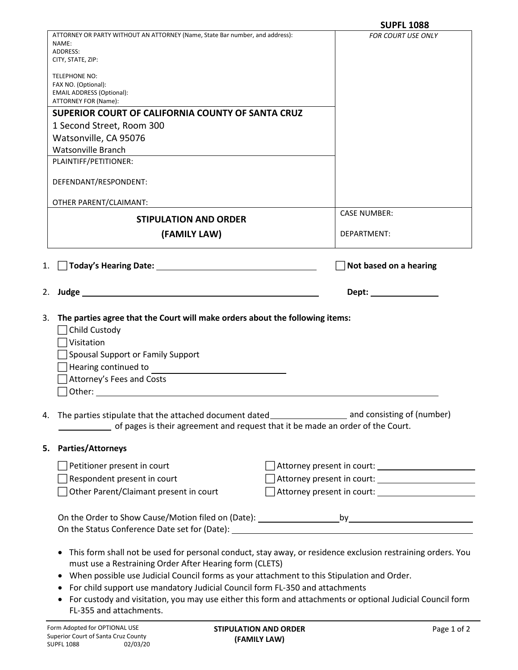|                                        |                                                                                                                                                                                                                                       | <b>SUPFL 1088</b>                                                                                            |
|----------------------------------------|---------------------------------------------------------------------------------------------------------------------------------------------------------------------------------------------------------------------------------------|--------------------------------------------------------------------------------------------------------------|
|                                        | ATTORNEY OR PARTY WITHOUT AN ATTORNEY (Name, State Bar number, and address):                                                                                                                                                          | <b>FOR COURT USE ONLY</b>                                                                                    |
| NAME:<br><b>ADDRESS:</b>               |                                                                                                                                                                                                                                       |                                                                                                              |
| CITY, STATE, ZIP:                      |                                                                                                                                                                                                                                       |                                                                                                              |
| <b>TELEPHONE NO:</b>                   |                                                                                                                                                                                                                                       |                                                                                                              |
| FAX NO. (Optional):                    |                                                                                                                                                                                                                                       |                                                                                                              |
| <b>EMAIL ADDRESS (Optional):</b>       |                                                                                                                                                                                                                                       |                                                                                                              |
| ATTORNEY FOR (Name):                   |                                                                                                                                                                                                                                       |                                                                                                              |
|                                        | SUPERIOR COURT OF CALIFORNIA COUNTY OF SANTA CRUZ                                                                                                                                                                                     |                                                                                                              |
| 1 Second Street, Room 300              |                                                                                                                                                                                                                                       |                                                                                                              |
| Watsonville, CA 95076                  |                                                                                                                                                                                                                                       |                                                                                                              |
| <b>Watsonville Branch</b>              |                                                                                                                                                                                                                                       |                                                                                                              |
| PLAINTIFF/PETITIONER:                  |                                                                                                                                                                                                                                       |                                                                                                              |
| DEFENDANT/RESPONDENT:                  |                                                                                                                                                                                                                                       |                                                                                                              |
| OTHER PARENT/CLAIMANT:                 |                                                                                                                                                                                                                                       |                                                                                                              |
| <b>STIPULATION AND ORDER</b>           |                                                                                                                                                                                                                                       | <b>CASE NUMBER:</b>                                                                                          |
| (FAMILY LAW)                           |                                                                                                                                                                                                                                       | DEPARTMENT:                                                                                                  |
|                                        |                                                                                                                                                                                                                                       |                                                                                                              |
| 1.                                     |                                                                                                                                                                                                                                       | Not based on a hearing                                                                                       |
|                                        |                                                                                                                                                                                                                                       |                                                                                                              |
|                                        |                                                                                                                                                                                                                                       |                                                                                                              |
| 3.                                     | The parties agree that the Court will make orders about the following items:                                                                                                                                                          |                                                                                                              |
| Child Custody                          |                                                                                                                                                                                                                                       |                                                                                                              |
| Visitation                             |                                                                                                                                                                                                                                       |                                                                                                              |
| Spousal Support or Family Support      |                                                                                                                                                                                                                                       |                                                                                                              |
| Hearing continued to                   |                                                                                                                                                                                                                                       |                                                                                                              |
| Attorney's Fees and Costs              |                                                                                                                                                                                                                                       |                                                                                                              |
|                                        | Other: when the contract of the contract of the contract of the contract of the contract of the contract of the contract of the contract of the contract of the contract of the contract of the contract of the contract of th        |                                                                                                              |
| 4.                                     | of pages is their agreement and request that it be made an order of the Court.                                                                                                                                                        | The parties stipulate that the attached document dated___________________________ and consisting of (number) |
| 5. Parties/Attorneys                   |                                                                                                                                                                                                                                       |                                                                                                              |
| Petitioner present in court            |                                                                                                                                                                                                                                       | Attorney present in court: __________________________                                                        |
| Respondent present in court            |                                                                                                                                                                                                                                       |                                                                                                              |
| Other Parent/Claimant present in court |                                                                                                                                                                                                                                       |                                                                                                              |
|                                        |                                                                                                                                                                                                                                       |                                                                                                              |
|                                        |                                                                                                                                                                                                                                       |                                                                                                              |
|                                        | must use a Restraining Order After Hearing form (CLETS)<br>When possible use Judicial Council forms as your attachment to this Stipulation and Order.<br>For child support use mandatory Judicial Council form FL-350 and attachments | This form shall not be used for personal conduct, stay away, or residence exclusion restraining orders. You  |
| FL-355 and attachments.                |                                                                                                                                                                                                                                       | For custody and visitation, you may use either this form and attachments or optional Judicial Council form   |